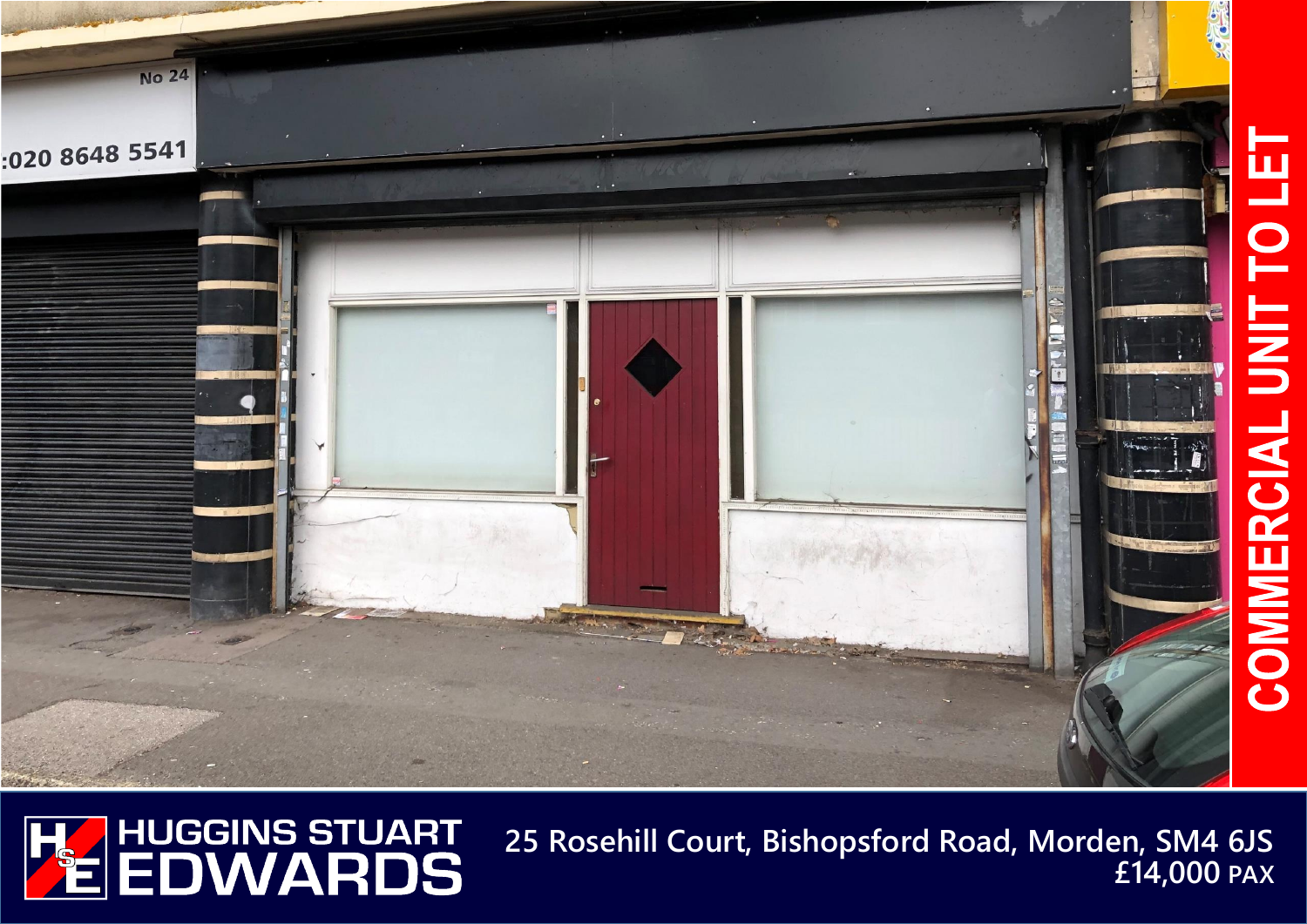



**25 Rosehill Court, Bishopsford Road, Morden, SM4 6JS £14,000 PAX**